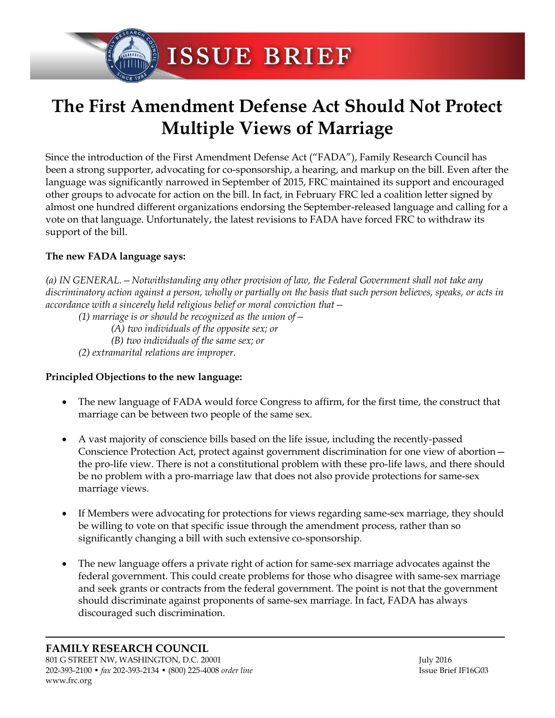ISSUE BRIEF

## **The First Amendment Defense Act Should Not Protect Multiple Views of Marriage**

Since the introduction of the First Amendment Defense Act ("FADA"), Family Research Council has been a strong supporter, advocating for co-sponsorship, a hearing, and markup on the bill. Even after the language was significantly narrowed in September of 2015, FRC maintained its support and encouraged other groups to advocate for action on the bill. In fact, in February FRC led a coalition letter signed by almost one hundred different organizations endorsing the September-released language and calling for a vote on that language. Unfortunately, the latest revisions to FADA have forced FRC to withdraw its support of the bill.

## **The new FADA language says:**

*(a) IN GENERAL.—Notwithstanding any other provision of law, the Federal Government shall not take any discriminatory action against a person, wholly or partially on the basis that such person believes, speaks, or acts in accordance with a sincerely held religious belief or moral conviction that—*

*(1) marriage is or should be recognized as the union of—*

- *(A) two individuals of the opposite sex; or*
- *(B) two individuals of the same sex; or*
- *(2) extramarital relations are improper.*

## **Principled Objections to the new language:**

- The new language of FADA would force Congress to affirm, for the first time, the construct that marriage can be between two people of the same sex.
- A vast majority of conscience bills based on the life issue, including the recently-passed Conscience Protection Act, protect against government discrimination for one view of abortion the pro-life view. There is not a constitutional problem with these pro-life laws, and there should be no problem with a pro-marriage law that does not also provide protections for same-sex marriage views.
- If Members were advocating for protections for views regarding same-sex marriage, they should be willing to vote on that specific issue through the amendment process, rather than so significantly changing a bill with such extensive co-sponsorship.
- The new language offers a private right of action for same-sex marriage advocates against the federal government. This could create problems for those who disagree with same-sex marriage and seek grants or contracts from the federal government. The point is not that the government should discriminate against proponents of same-sex marriage. In fact, FADA has always discouraged such discrimination.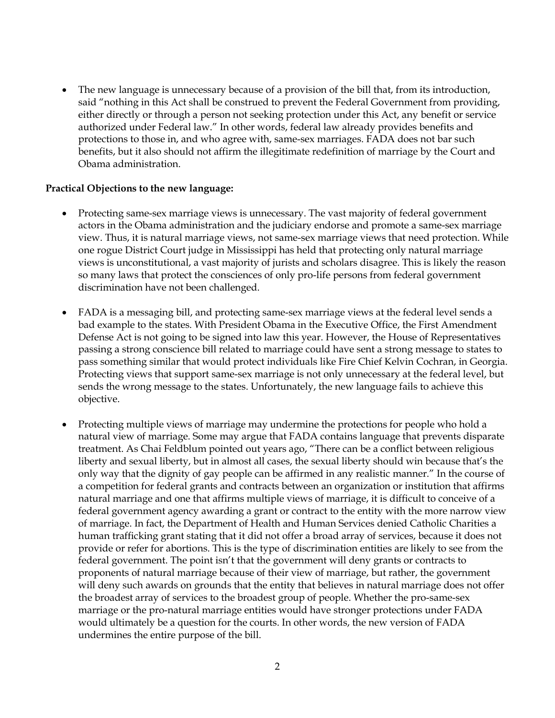• The new language is unnecessary because of a provision of the bill that, from its introduction, said "nothing in this Act shall be construed to prevent the Federal Government from providing, either directly or through a person not seeking protection under this Act, any benefit or service authorized under Federal law." In other words, federal law already provides benefits and protections to those in, and who agree with, same-sex marriages. FADA does not bar such benefits, but it also should not affirm the illegitimate redefinition of marriage by the Court and Obama administration.

## **Practical Objections to the new language:**

- Protecting same-sex marriage views is unnecessary. The vast majority of federal government actors in the Obama administration and the judiciary endorse and promote a same-sex marriage view. Thus, it is natural marriage views, not same-sex marriage views that need protection. While one rogue District Court judge in Mississippi has held that protecting only natural marriage views is unconstitutional, a vast majority of jurists and scholars disagree. This is likely the reason so many laws that protect the consciences of only pro-life persons from federal government discrimination have not been challenged.
- FADA is a messaging bill, and protecting same-sex marriage views at the federal level sends a bad example to the states. With President Obama in the Executive Office, the First Amendment Defense Act is not going to be signed into law this year. However, the House of Representatives passing a strong conscience bill related to marriage could have sent a strong message to states to pass something similar that would protect individuals like Fire Chief Kelvin Cochran, in Georgia. Protecting views that support same-sex marriage is not only unnecessary at the federal level, but sends the wrong message to the states. Unfortunately, the new language fails to achieve this objective.
- Protecting multiple views of marriage may undermine the protections for people who hold a natural view of marriage. Some may argue that FADA contains language that prevents disparate treatment. As Chai Feldblum pointed out years ago, "There can be a conflict between religious liberty and sexual liberty, but in almost all cases, the sexual liberty should win because that's the only way that the dignity of gay people can be affirmed in any realistic manner." In the course of a competition for federal grants and contracts between an organization or institution that affirms natural marriage and one that affirms multiple views of marriage, it is difficult to conceive of a federal government agency awarding a grant or contract to the entity with the more narrow view of marriage. In fact, the Department of Health and Human Services denied Catholic Charities a human trafficking grant stating that it did not offer a broad array of services, because it does not provide or refer for abortions. This is the type of discrimination entities are likely to see from the federal government. The point isn't that the government will deny grants or contracts to proponents of natural marriage because of their view of marriage, but rather, the government will deny such awards on grounds that the entity that believes in natural marriage does not offer the broadest array of services to the broadest group of people. Whether the pro-same-sex marriage or the pro-natural marriage entities would have stronger protections under FADA would ultimately be a question for the courts. In other words, the new version of FADA undermines the entire purpose of the bill.